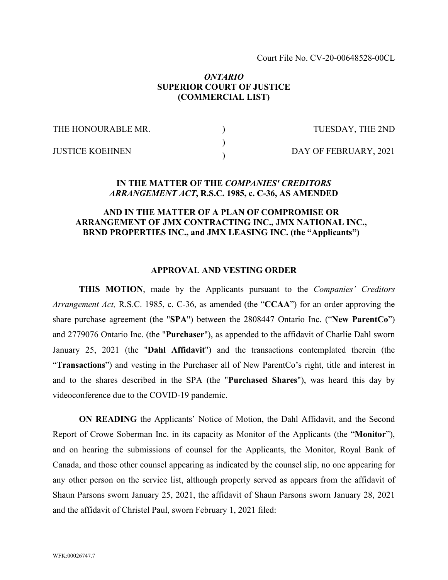Court File No. CV-20-00648528-00CL

### *ONTARIO* **SUPERIOR COURT OF JUSTICE (COMMERCIAL LIST)**

) )  $\lambda$ 

THE HONOURABLE MR.

TUESDAY, THE 2ND

JUSTICE KOEHNEN

DAY OF FEBRUARY, 2021

#### **IN THE MATTER OF THE** *COMPANIES' CREDITORS ARRANGEMENT ACT***, R.S.C. 1985, c. C-36, AS AMENDED**

### **AND IN THE MATTER OF A PLAN OF COMPROMISE OR ARRANGEMENT OF JMX CONTRACTING INC., JMX NATIONAL INC., BRND PROPERTIES INC., and JMX LEASING INC. (the "Applicants")**

#### **APPROVAL AND VESTING ORDER**

**THIS MOTION**, made by the Applicants pursuant to the *Companies' Creditors Arrangement Act,* R.S.C. 1985, c. C-36, as amended (the "**CCAA**") for an order approving the share purchase agreement (the "**SPA**") between the 2808447 Ontario Inc. ("**New ParentCo**") and 2779076 Ontario Inc. (the "**Purchaser**"), as appended to the affidavit of Charlie Dahl sworn January 25, 2021 (the "**Dahl Affidavit**") and the transactions contemplated therein (the "**Transactions**") and vesting in the Purchaser all of New ParentCo's right, title and interest in and to the shares described in the SPA (the "**Purchased Shares**"), was heard this day by videoconference due to the COVID-19 pandemic.

**ON READING** the Applicants' Notice of Motion, the Dahl Affidavit, and the Second Report of Crowe Soberman Inc. in its capacity as Monitor of the Applicants (the "**Monitor**"), and on hearing the submissions of counsel for the Applicants, the Monitor, Royal Bank of Canada, and those other counsel appearing as indicated by the counsel slip, no one appearing for any other person on the service list, although properly served as appears from the affidavit of Shaun Parsons sworn January 25, 2021, the affidavit of Shaun Parsons sworn January 28, 2021 and the affidavit of Christel Paul, sworn February 1, 2021 filed: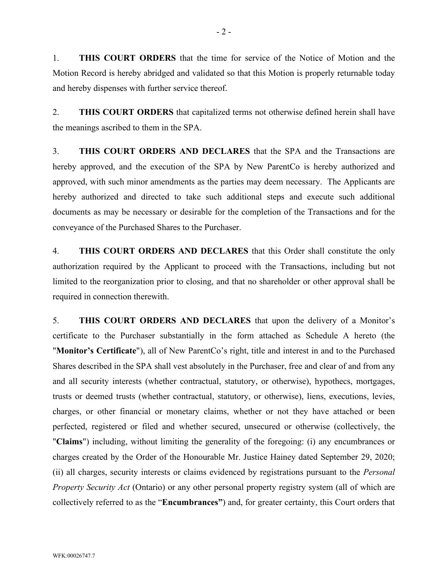1. **THIS COURT ORDERS** that the time for service of the Notice of Motion and the Motion Record is hereby abridged and validated so that this Motion is properly returnable today and hereby dispenses with further service thereof.

2. **THIS COURT ORDERS** that capitalized terms not otherwise defined herein shall have the meanings ascribed to them in the SPA.

3. **THIS COURT ORDERS AND DECLARES** that the SPA and the Transactions are hereby approved, and the execution of the SPA by New ParentCo is hereby authorized and approved, with such minor amendments as the parties may deem necessary. The Applicants are hereby authorized and directed to take such additional steps and execute such additional documents as may be necessary or desirable for the completion of the Transactions and for the conveyance of the Purchased Shares to the Purchaser.

4. **THIS COURT ORDERS AND DECLARES** that this Order shall constitute the only authorization required by the Applicant to proceed with the Transactions, including but not limited to the reorganization prior to closing, and that no shareholder or other approval shall be required in connection therewith.

5. **THIS COURT ORDERS AND DECLARES** that upon the delivery of a Monitor's certificate to the Purchaser substantially in the form attached as Schedule A hereto (the "**Monitor's Certificate**"), all of New ParentCo's right, title and interest in and to the Purchased Shares described in the SPA shall vest absolutely in the Purchaser, free and clear of and from any and all security interests (whether contractual, statutory, or otherwise), hypothecs, mortgages, trusts or deemed trusts (whether contractual, statutory, or otherwise), liens, executions, levies, charges, or other financial or monetary claims, whether or not they have attached or been perfected, registered or filed and whether secured, unsecured or otherwise (collectively, the "**Claims**") including, without limiting the generality of the foregoing: (i) any encumbrances or charges created by the Order of the Honourable Mr. Justice Hainey dated September 29, 2020; (ii) all charges, security interests or claims evidenced by registrations pursuant to the *Personal Property Security Act* (Ontario) or any other personal property registry system (all of which are collectively referred to as the "**Encumbrances"**) and, for greater certainty, this Court orders that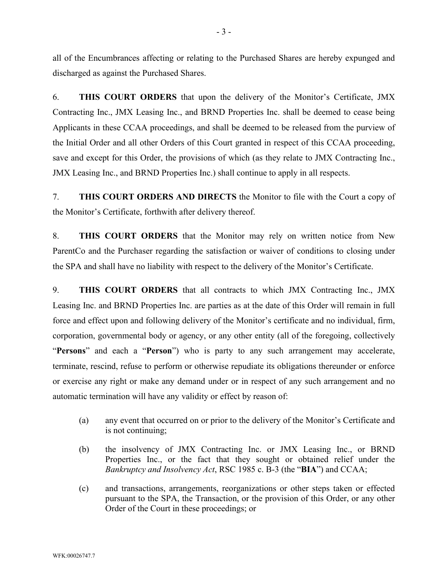all of the Encumbrances affecting or relating to the Purchased Shares are hereby expunged and discharged as against the Purchased Shares.

6. **THIS COURT ORDERS** that upon the delivery of the Monitor's Certificate, JMX Contracting Inc., JMX Leasing Inc., and BRND Properties Inc. shall be deemed to cease being Applicants in these CCAA proceedings, and shall be deemed to be released from the purview of the Initial Order and all other Orders of this Court granted in respect of this CCAA proceeding, save and except for this Order, the provisions of which (as they relate to JMX Contracting Inc., JMX Leasing Inc., and BRND Properties Inc.) shall continue to apply in all respects.

7. **THIS COURT ORDERS AND DIRECTS** the Monitor to file with the Court a copy of the Monitor's Certificate, forthwith after delivery thereof.

8. **THIS COURT ORDERS** that the Monitor may rely on written notice from New ParentCo and the Purchaser regarding the satisfaction or waiver of conditions to closing under the SPA and shall have no liability with respect to the delivery of the Monitor's Certificate.

9. **THIS COURT ORDERS** that all contracts to which JMX Contracting Inc., JMX Leasing Inc. and BRND Properties Inc. are parties as at the date of this Order will remain in full force and effect upon and following delivery of the Monitor's certificate and no individual, firm, corporation, governmental body or agency, or any other entity (all of the foregoing, collectively "**Persons**" and each a "**Person**") who is party to any such arrangement may accelerate, terminate, rescind, refuse to perform or otherwise repudiate its obligations thereunder or enforce or exercise any right or make any demand under or in respect of any such arrangement and no automatic termination will have any validity or effect by reason of:

- (a) any event that occurred on or prior to the delivery of the Monitor's Certificate and is not continuing;
- (b) the insolvency of JMX Contracting Inc. or JMX Leasing Inc., or BRND Properties Inc., or the fact that they sought or obtained relief under the *Bankruptcy and Insolvency Act*, RSC 1985 c. B-3 (the "**BIA**") and CCAA;
- (c) and transactions, arrangements, reorganizations or other steps taken or effected pursuant to the SPA, the Transaction, or the provision of this Order, or any other Order of the Court in these proceedings; or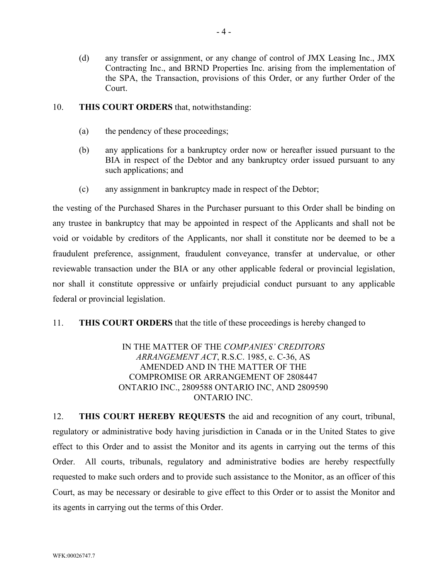- (d) any transfer or assignment, or any change of control of JMX Leasing Inc., JMX Contracting Inc., and BRND Properties Inc. arising from the implementation of the SPA, the Transaction, provisions of this Order, or any further Order of the Court.
- 10. **THIS COURT ORDERS** that, notwithstanding:
	- (a) the pendency of these proceedings;
	- (b) any applications for a bankruptcy order now or hereafter issued pursuant to the BIA in respect of the Debtor and any bankruptcy order issued pursuant to any such applications; and
	- (c) any assignment in bankruptcy made in respect of the Debtor;

the vesting of the Purchased Shares in the Purchaser pursuant to this Order shall be binding on any trustee in bankruptcy that may be appointed in respect of the Applicants and shall not be void or voidable by creditors of the Applicants, nor shall it constitute nor be deemed to be a fraudulent preference, assignment, fraudulent conveyance, transfer at undervalue, or other reviewable transaction under the BIA or any other applicable federal or provincial legislation, nor shall it constitute oppressive or unfairly prejudicial conduct pursuant to any applicable federal or provincial legislation.

11. **THIS COURT ORDERS** that the title of these proceedings is hereby changed to

## IN THE MATTER OF THE *COMPANIES' CREDITORS ARRANGEMENT ACT*, R.S.C. 1985, c. C-36, AS AMENDED AND IN THE MATTER OF THE COMPROMISE OR ARRANGEMENT OF 2808447 ONTARIO INC., 2809588 ONTARIO INC, AND 2809590 ONTARIO INC.

12. **THIS COURT HEREBY REQUESTS** the aid and recognition of any court, tribunal, regulatory or administrative body having jurisdiction in Canada or in the United States to give effect to this Order and to assist the Monitor and its agents in carrying out the terms of this Order. All courts, tribunals, regulatory and administrative bodies are hereby respectfully requested to make such orders and to provide such assistance to the Monitor, as an officer of this Court, as may be necessary or desirable to give effect to this Order or to assist the Monitor and its agents in carrying out the terms of this Order.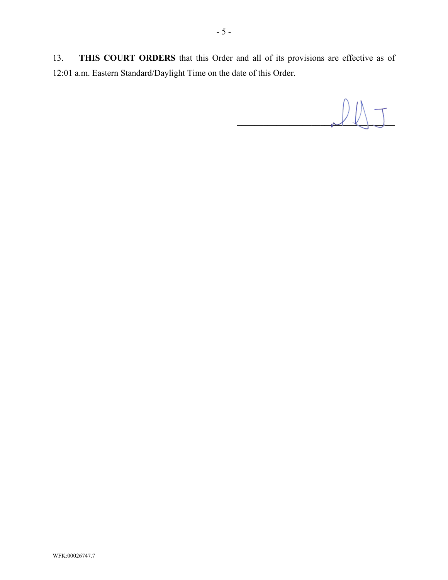13. **THIS COURT ORDERS** that this Order and all of its provisions are effective as of 12:01 a.m. Eastern Standard/Daylight Time on the date of this Order.

 $\ell\mathbb{N}$  T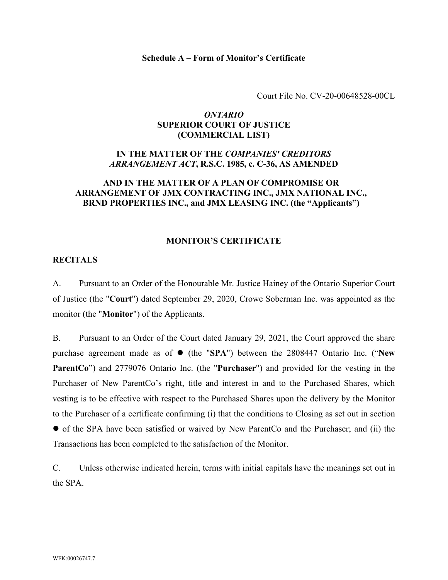#### **Schedule A – Form of Monitor's Certificate**

Court File No. CV-20-00648528-00CL

## *ONTARIO* **SUPERIOR COURT OF JUSTICE (COMMERCIAL LIST)**

# **IN THE MATTER OF THE** *COMPANIES' CREDITORS ARRANGEMENT ACT***, R.S.C. 1985, c. C-36, AS AMENDED**

## **AND IN THE MATTER OF A PLAN OF COMPROMISE OR ARRANGEMENT OF JMX CONTRACTING INC., JMX NATIONAL INC., BRND PROPERTIES INC., and JMX LEASING INC. (the "Applicants")**

#### **MONITOR'S CERTIFICATE**

#### **RECITALS**

A. Pursuant to an Order of the Honourable Mr. Justice Hainey of the Ontario Superior Court of Justice (the "**Court**") dated September 29, 2020, Crowe Soberman Inc. was appointed as the monitor (the "**Monitor**") of the Applicants.

B. Pursuant to an Order of the Court dated January 29, 2021, the Court approved the share purchase agreement made as of  $\bullet$  (the "SPA") between the 2808447 Ontario Inc. ("New **ParentCo**") and 2779076 Ontario Inc. (the "**Purchaser**") and provided for the vesting in the Purchaser of New ParentCo's right, title and interest in and to the Purchased Shares, which vesting is to be effective with respect to the Purchased Shares upon the delivery by the Monitor to the Purchaser of a certificate confirming (i) that the conditions to Closing as set out in section of the SPA have been satisfied or waived by New ParentCo and the Purchaser; and (ii) the Transactions has been completed to the satisfaction of the Monitor.

C. Unless otherwise indicated herein, terms with initial capitals have the meanings set out in the SPA.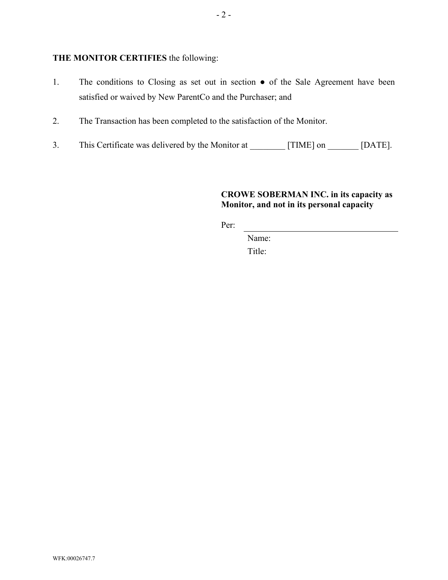## **THE MONITOR CERTIFIES** the following:

- 1. The conditions to Closing as set out in section of the Sale Agreement have been satisfied or waived by New ParentCo and the Purchaser; and
- 2. The Transaction has been completed to the satisfaction of the Monitor.
- 3. This Certificate was delivered by the Monitor at [TIME] on [DATE].

# **CROWE SOBERMAN INC. in its capacity as Monitor, and not in its personal capacity**

Per:

Name:

Title: